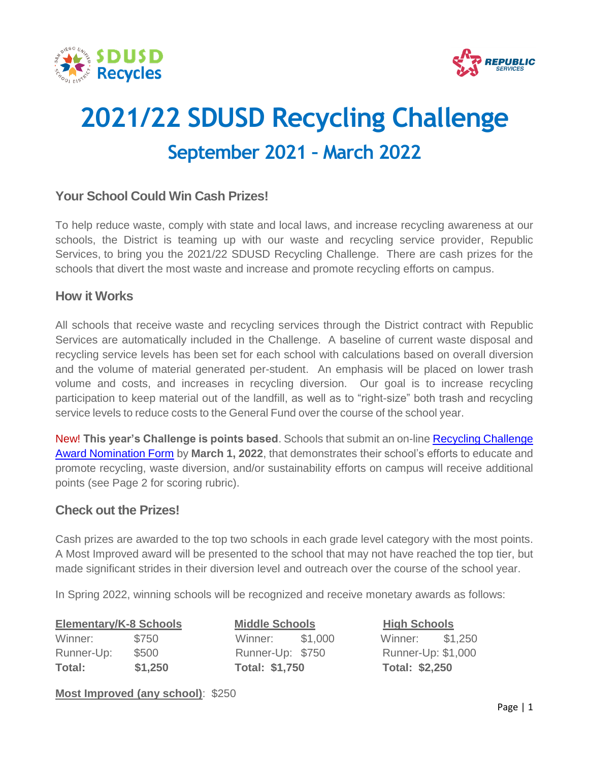



# **2021/22 SDUSD Recycling Challenge September 2021 – March 2022**

### **Your School Could Win Cash Prizes!**

To help reduce waste, comply with state and local laws, and increase recycling awareness at our schools, the District is teaming up with our waste and recycling service provider, Republic Services, to bring you the 2021/22 SDUSD Recycling Challenge. There are cash prizes for the schools that divert the most waste and increase and promote recycling efforts on campus.

#### **How it Works**

All schools that receive waste and recycling services through the District contract with Republic Services are automatically included in the Challenge. A baseline of current waste disposal and recycling service levels has been set for each school with calculations based on overall diversion and the volume of material generated per-student. An emphasis will be placed on lower trash volume and costs, and increases in recycling diversion. Our goal is to increase recycling participation to keep material out of the landfill, as well as to "right-size" both trash and recycling service levels to reduce costs to the General Fund over the course of the school year.

New! **This year's Challenge is points based**. Schools that submit an on-line [Recycling Challenge](https://forms.gle/W5FQpeE5honBjYLb7)  [Award Nomination Form](https://forms.gle/W5FQpeE5honBjYLb7) by **March 1, 2022**, that demonstrates their school's efforts to educate and promote recycling, waste diversion, and/or sustainability efforts on campus will receive additional points (see Page 2 for scoring rubric).

#### **Check out the Prizes!**

Cash prizes are awarded to the top two schools in each grade level category with the most points. A Most Improved award will be presented to the school that may not have reached the top tier, but made significant strides in their diversion level and outreach over the course of the school year.

In Spring 2022, winning schools will be recognized and receive monetary awards as follows:

**Elementary/K-8 Schools Middle Schools High Schools** Winner: \$750 Winner: \$1,000 Winner: \$1,250 Runner-Up: \$500 Runner-Up: \$750 Runner-Up: \$1,000 **Total: \$1,250 Total: \$1,750 Total: \$2,250**

**Most Improved (any school)**: \$250